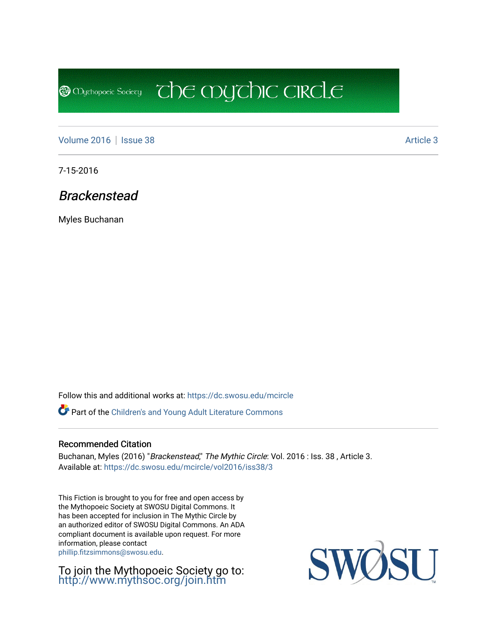**@** Mychopoeic Sociecy

[Volume 2016](https://dc.swosu.edu/mcircle/vol2016) | [Issue 38](https://dc.swosu.edu/mcircle/vol2016/iss38) Article 3

7-15-2016

Brackenstead

Myles Buchanan

Follow this and additional works at: [https://dc.swosu.edu/mcircle](https://dc.swosu.edu/mcircle?utm_source=dc.swosu.edu%2Fmcircle%2Fvol2016%2Fiss38%2F3&utm_medium=PDF&utm_campaign=PDFCoverPages) 

Part of the [Children's and Young Adult Literature Commons](http://network.bepress.com/hgg/discipline/1289?utm_source=dc.swosu.edu%2Fmcircle%2Fvol2016%2Fiss38%2F3&utm_medium=PDF&utm_campaign=PDFCoverPages) 

### Recommended Citation

Buchanan, Myles (2016) "Brackenstead," The Mythic Circle: Vol. 2016 : Iss. 38, Article 3. Available at: [https://dc.swosu.edu/mcircle/vol2016/iss38/3](https://dc.swosu.edu/mcircle/vol2016/iss38/3?utm_source=dc.swosu.edu%2Fmcircle%2Fvol2016%2Fiss38%2F3&utm_medium=PDF&utm_campaign=PDFCoverPages)

 $\overline{c}$  the mychic circle

This Fiction is brought to you for free and open access by the Mythopoeic Society at SWOSU Digital Commons. It has been accepted for inclusion in The Mythic Circle by an authorized editor of SWOSU Digital Commons. An ADA compliant document is available upon request. For more information, please contact [phillip.fitzsimmons@swosu.edu](mailto:phillip.fitzsimmons@swosu.edu).

To join the Mythopoeic Society go to: <http://www.mythsoc.org/join.htm>

SWOSU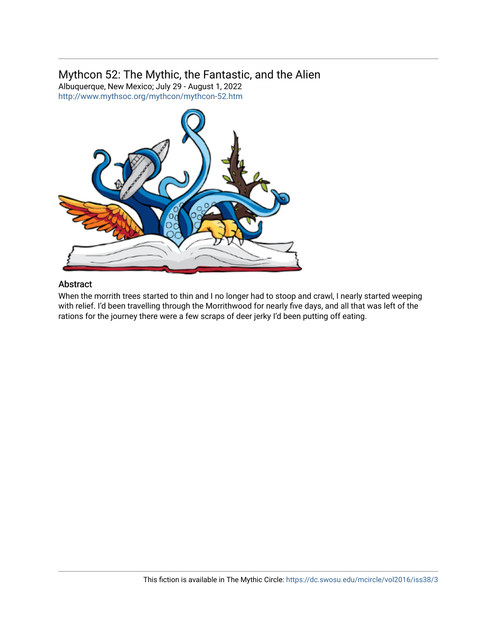# Mythcon 52: The Mythic, the Fantastic, and the Alien

Albuquerque, New Mexico; July 29 - August 1, 2022 <http://www.mythsoc.org/mythcon/mythcon-52.htm>



## Abstract

When the morrith trees started to thin and I no longer had to stoop and crawl, I nearly started weeping with relief. I'd been travelling through the Morrithwood for nearly five days, and all that was left of the rations for the journey there were a few scraps of deer jerky I'd been putting off eating.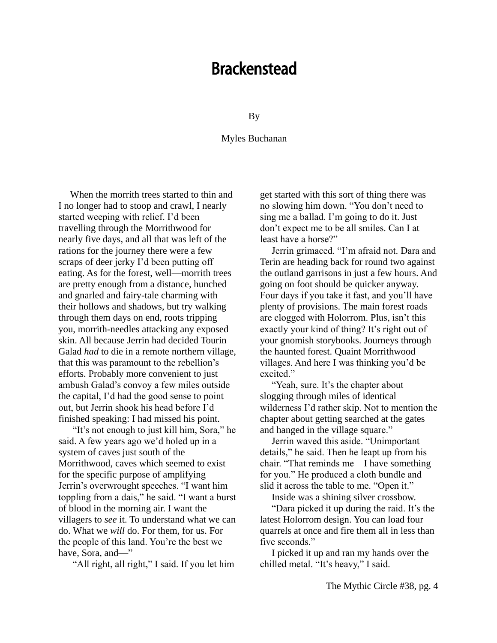# Brackenstead

By

#### Myles Buchanan

When the morrith trees started to thin and I no longer had to stoop and crawl, I nearly started weeping with relief. I'd been travelling through the Morrithwood for nearly five days, and all that was left of the rations for the journey there were a few scraps of deer jerky I'd been putting off eating. As for the forest, well—morrith trees are pretty enough from a distance, hunched and gnarled and fairy-tale charming with their hollows and shadows, but try walking through them days on end, roots tripping you, morrith-needles attacking any exposed skin. All because Jerrin had decided Tourin Galad *had* to die in a remote northern village, that this was paramount to the rebellion's efforts. Probably more convenient to just ambush Galad's convoy a few miles outside the capital, I'd had the good sense to point out, but Jerrin shook his head before I'd finished speaking: I had missed his point.

"It's not enough to just kill him, Sora," he said. A few years ago we'd holed up in a system of caves just south of the Morrithwood, caves which seemed to exist for the specific purpose of amplifying Jerrin's overwrought speeches. "I want him toppling from a dais," he said. "I want a burst of blood in the morning air. I want the villagers to *see* it. To understand what we can do. What we *will* do. For them, for us. For the people of this land. You're the best we have, Sora, and-"

"All right, all right," I said. If you let him

get started with this sort of thing there was no slowing him down. "You don't need to sing me a ballad. I'm going to do it. Just don't expect me to be all smiles. Can I at least have a horse?"

Jerrin grimaced. "I'm afraid not. Dara and Terin are heading back for round two against the outland garrisons in just a few hours. And going on foot should be quicker anyway. Four days if you take it fast, and you'll have plenty of provisions. The main forest roads are clogged with Holorrom. Plus, isn't this exactly your kind of thing? It's right out of your gnomish storybooks. Journeys through the haunted forest. Quaint Morrithwood villages. And here I was thinking you'd be excited."

"Yeah, sure. It's the chapter about slogging through miles of identical wilderness I'd rather skip. Not to mention the chapter about getting searched at the gates and hanged in the village square."

Jerrin waved this aside. "Unimportant details," he said. Then he leapt up from his chair. "That reminds me—I have something for you." He produced a cloth bundle and slid it across the table to me. "Open it."

Inside was a shining silver crossbow.

"Dara picked it up during the raid. It's the latest Holorrom design. You can load four quarrels at once and fire them all in less than five seconds."

I picked it up and ran my hands over the chilled metal. "It's heavy," I said.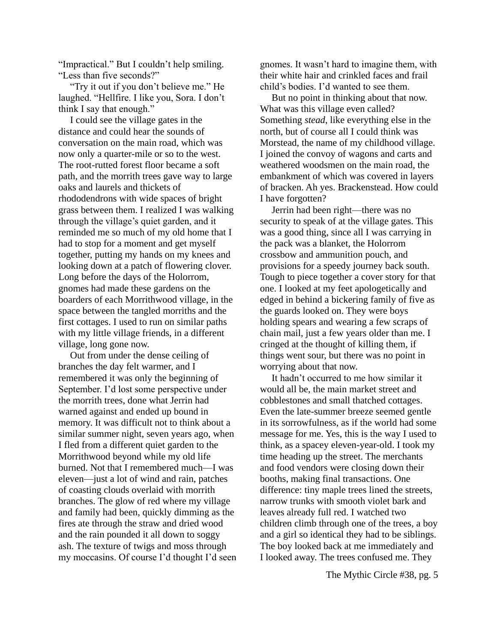"Impractical." But I couldn't help smiling. "Less than five seconds?"

"Try it out if you don't believe me." He laughed. "Hellfire. I like you, Sora. I don't think I say that enough."

I could see the village gates in the distance and could hear the sounds of conversation on the main road, which was now only a quarter-mile or so to the west. The root-rutted forest floor became a soft path, and the morrith trees gave way to large oaks and laurels and thickets of rhododendrons with wide spaces of bright grass between them. I realized I was walking through the village's quiet garden, and it reminded me so much of my old home that I had to stop for a moment and get myself together, putting my hands on my knees and looking down at a patch of flowering clover. Long before the days of the Holorrom, gnomes had made these gardens on the boarders of each Morrithwood village, in the space between the tangled morriths and the first cottages. I used to run on similar paths with my little village friends, in a different village, long gone now.

Out from under the dense ceiling of branches the day felt warmer, and I remembered it was only the beginning of September. I'd lost some perspective under the morrith trees, done what Jerrin had warned against and ended up bound in memory. It was difficult not to think about a similar summer night, seven years ago, when I fled from a different quiet garden to the Morrithwood beyond while my old life burned. Not that I remembered much—I was eleven—just a lot of wind and rain, patches of coasting clouds overlaid with morrith branches. The glow of red where my village and family had been, quickly dimming as the fires ate through the straw and dried wood and the rain pounded it all down to soggy ash. The texture of twigs and moss through my moccasins. Of course I'd thought I'd seen gnomes. It wasn't hard to imagine them, with their white hair and crinkled faces and frail child's bodies. I'd wanted to see them.

But no point in thinking about that now. What was this village even called? Something *stead*, like everything else in the north, but of course all I could think was Morstead, the name of my childhood village. I joined the convoy of wagons and carts and weathered woodsmen on the main road, the embankment of which was covered in layers of bracken. Ah yes. Brackenstead. How could I have forgotten?

Jerrin had been right—there was no security to speak of at the village gates. This was a good thing, since all I was carrying in the pack was a blanket, the Holorrom crossbow and ammunition pouch, and provisions for a speedy journey back south. Tough to piece together a cover story for that one. I looked at my feet apologetically and edged in behind a bickering family of five as the guards looked on. They were boys holding spears and wearing a few scraps of chain mail, just a few years older than me. I cringed at the thought of killing them, if things went sour, but there was no point in worrying about that now.

It hadn't occurred to me how similar it would all be, the main market street and cobblestones and small thatched cottages. Even the late-summer breeze seemed gentle in its sorrowfulness, as if the world had some message for me. Yes, this is the way I used to think, as a spacey eleven-year-old. I took my time heading up the street. The merchants and food vendors were closing down their booths, making final transactions. One difference: tiny maple trees lined the streets, narrow trunks with smooth violet bark and leaves already full red. I watched two children climb through one of the trees, a boy and a girl so identical they had to be siblings. The boy looked back at me immediately and I looked away. The trees confused me. They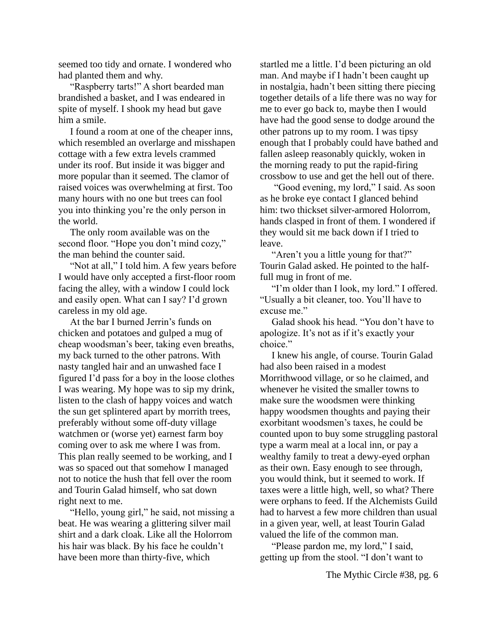seemed too tidy and ornate. I wondered who had planted them and why.

"Raspberry tarts!" A short bearded man brandished a basket, and I was endeared in spite of myself. I shook my head but gave him a smile.

I found a room at one of the cheaper inns, which resembled an overlarge and misshapen cottage with a few extra levels crammed under its roof. But inside it was bigger and more popular than it seemed. The clamor of raised voices was overwhelming at first. Too many hours with no one but trees can fool you into thinking you're the only person in the world.

The only room available was on the second floor. "Hope you don't mind cozy," the man behind the counter said.

"Not at all," I told him. A few years before I would have only accepted a first-floor room facing the alley, with a window I could lock and easily open. What can I say? I'd grown careless in my old age.

At the bar I burned Jerrin's funds on chicken and potatoes and gulped a mug of cheap woodsman's beer, taking even breaths, my back turned to the other patrons. With nasty tangled hair and an unwashed face I figured I'd pass for a boy in the loose clothes I was wearing. My hope was to sip my drink, listen to the clash of happy voices and watch the sun get splintered apart by morrith trees, preferably without some off-duty village watchmen or (worse yet) earnest farm boy coming over to ask me where I was from. This plan really seemed to be working, and I was so spaced out that somehow I managed not to notice the hush that fell over the room and Tourin Galad himself, who sat down right next to me.

"Hello, young girl," he said, not missing a beat. He was wearing a glittering silver mail shirt and a dark cloak. Like all the Holorrom his hair was black. By his face he couldn't have been more than thirty-five, which

startled me a little. I'd been picturing an old man. And maybe if I hadn't been caught up in nostalgia, hadn't been sitting there piecing together details of a life there was no way for me to ever go back to, maybe then I would have had the good sense to dodge around the other patrons up to my room. I was tipsy enough that I probably could have bathed and fallen asleep reasonably quickly, woken in the morning ready to put the rapid-firing crossbow to use and get the hell out of there.

"Good evening, my lord," I said. As soon as he broke eye contact I glanced behind him: two thickset silver-armored Holorrom, hands clasped in front of them. I wondered if they would sit me back down if I tried to leave.

"Aren't you a little young for that?" Tourin Galad asked. He pointed to the halffull mug in front of me.

"I'm older than I look, my lord." I offered. "Usually a bit cleaner, too. You'll have to excuse me."

Galad shook his head. "You don't have to apologize. It's not as if it's exactly your choice."

I knew his angle, of course. Tourin Galad had also been raised in a modest Morrithwood village, or so he claimed, and whenever he visited the smaller towns to make sure the woodsmen were thinking happy woodsmen thoughts and paying their exorbitant woodsmen's taxes, he could be counted upon to buy some struggling pastoral type a warm meal at a local inn, or pay a wealthy family to treat a dewy-eyed orphan as their own. Easy enough to see through, you would think, but it seemed to work. If taxes were a little high, well, so what? There were orphans to feed. If the Alchemists Guild had to harvest a few more children than usual in a given year, well, at least Tourin Galad valued the life of the common man.

"Please pardon me, my lord," I said, getting up from the stool. "I don't want to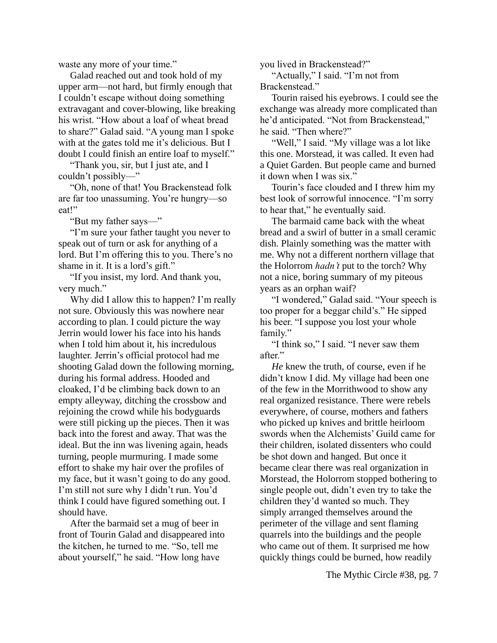waste any more of your time."

Galad reached out and took hold of my upper arm—not hard, but firmly enough that I couldn't escape without doing something extravagant and cover-blowing, like breaking his wrist. "How about a loaf of wheat bread to share?" Galad said. "A young man I spoke with at the gates told me it's delicious. But I doubt I could finish an entire loaf to myself."

"Thank you, sir, but I just ate, and I couldn't possibly—"

"Oh, none of that! You Brackenstead folk are far too unassuming. You're hungry—so eat!"

"But my father says—"

"I'm sure your father taught you never to speak out of turn or ask for anything of a lord. But I'm offering this to you. There's no shame in it. It is a lord's gift."

"If you insist, my lord. And thank you, very much."

Why did I allow this to happen? I'm really not sure. Obviously this was nowhere near according to plan. I could picture the way Jerrin would lower his face into his hands when I told him about it, his incredulous laughter. Jerrin's official protocol had me shooting Galad down the following morning, during his formal address. Hooded and cloaked, I'd be climbing back down to an empty alleyway, ditching the crossbow and rejoining the crowd while his bodyguards were still picking up the pieces. Then it was back into the forest and away. That was the ideal. But the inn was livening again, heads turning, people murmuring. I made some effort to shake my hair over the profiles of my face, but it wasn't going to do any good. I'm still not sure why I didn't run. You'd think I could have figured something out. I should have.

After the barmaid set a mug of beer in front of Tourin Galad and disappeared into the kitchen, he turned to me. "So, tell me about yourself," he said. "How long have

you lived in Brackenstead?"

"Actually," I said. "I'm not from Brackenstead."

Tourin raised his eyebrows. I could see the exchange was already more complicated than he'd anticipated. "Not from Brackenstead," he said. "Then where?"

"Well," I said. "My village was a lot like" this one. Morstead, it was called. It even had a Quiet Garden. But people came and burned it down when I was six."

Tourin's face clouded and I threw him my best look of sorrowful innocence. "I'm sorry to hear that," he eventually said.

The barmaid came back with the wheat bread and a swirl of butter in a small ceramic dish. Plainly something was the matter with me. Why not a different northern village that the Holorrom *hadn't* put to the torch? Why not a nice, boring summary of my piteous years as an orphan waif?

"I wondered," Galad said. "Your speech is too proper for a beggar child's." He sipped his beer. "I suppose you lost your whole family."

"I think so," I said. "I never saw them after"

*He* knew the truth, of course, even if he didn't know I did. My village had been one of the few in the Morrithwood to show any real organized resistance. There were rebels everywhere, of course, mothers and fathers who picked up knives and brittle heirloom swords when the Alchemists' Guild came for their children, isolated dissenters who could be shot down and hanged. But once it became clear there was real organization in Morstead, the Holorrom stopped bothering to single people out, didn't even try to take the children they'd wanted so much. They simply arranged themselves around the perimeter of the village and sent flaming quarrels into the buildings and the people who came out of them. It surprised me how quickly things could be burned, how readily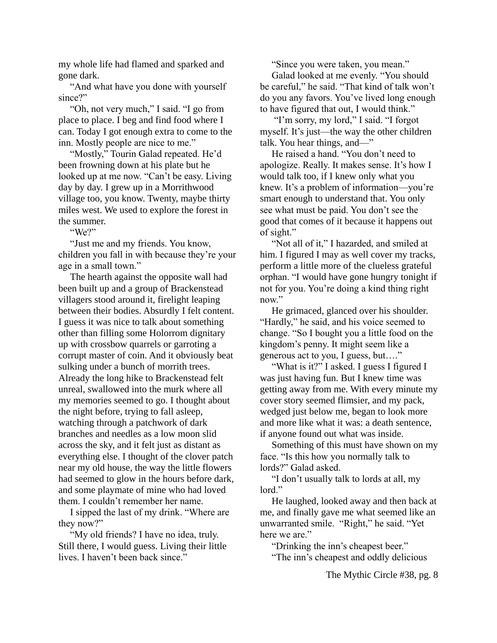my whole life had flamed and sparked and gone dark.

"And what have you done with yourself since?"

"Oh, not very much," I said. "I go from place to place. I beg and find food where I can. Today I got enough extra to come to the inn. Mostly people are nice to me."

"Mostly," Tourin Galad repeated. He'd been frowning down at his plate but he looked up at me now. "Can't be easy. Living day by day. I grew up in a Morrithwood village too, you know. Twenty, maybe thirty miles west. We used to explore the forest in the summer.

"We?"

"Just me and my friends. You know, children you fall in with because they're your age in a small town."

The hearth against the opposite wall had been built up and a group of Brackenstead villagers stood around it, firelight leaping between their bodies. Absurdly I felt content. I guess it was nice to talk about something other than filling some Holorrom dignitary up with crossbow quarrels or garroting a corrupt master of coin. And it obviously beat sulking under a bunch of morrith trees. Already the long hike to Brackenstead felt unreal, swallowed into the murk where all my memories seemed to go. I thought about the night before, trying to fall asleep, watching through a patchwork of dark branches and needles as a low moon slid across the sky, and it felt just as distant as everything else. I thought of the clover patch near my old house, the way the little flowers had seemed to glow in the hours before dark, and some playmate of mine who had loved them. I couldn't remember her name.

I sipped the last of my drink. "Where are they now?"

"My old friends? I have no idea, truly. Still there, I would guess. Living their little lives. I haven't been back since."

"Since you were taken, you mean."

Galad looked at me evenly. "You should be careful," he said. "That kind of talk won't do you any favors. You've lived long enough to have figured that out, I would think."

"I'm sorry, my lord," I said. "I forgot myself. It's just—the way the other children talk. You hear things, and—"

He raised a hand. "You don't need to apologize. Really. It makes sense. It's how I would talk too, if I knew only what you knew. It's a problem of information—you're smart enough to understand that. You only see what must be paid. You don't see the good that comes of it because it happens out of sight."

"Not all of it," I hazarded, and smiled at him. I figured I may as well cover my tracks, perform a little more of the clueless grateful orphan. "I would have gone hungry tonight if not for you. You're doing a kind thing right now."

He grimaced, glanced over his shoulder. "Hardly," he said, and his voice seemed to change. "So I bought you a little food on the kingdom's penny. It might seem like a generous act to you, I guess, but…."

"What is it?" I asked. I guess I figured I was just having fun. But I knew time was getting away from me. With every minute my cover story seemed flimsier, and my pack, wedged just below me, began to look more and more like what it was: a death sentence, if anyone found out what was inside.

Something of this must have shown on my face. "Is this how you normally talk to lords?" Galad asked.

"I don't usually talk to lords at all, my lord."

He laughed, looked away and then back at me, and finally gave me what seemed like an unwarranted smile. "Right," he said. "Yet here we are."

"Drinking the inn's cheapest beer." "The inn's cheapest and oddly delicious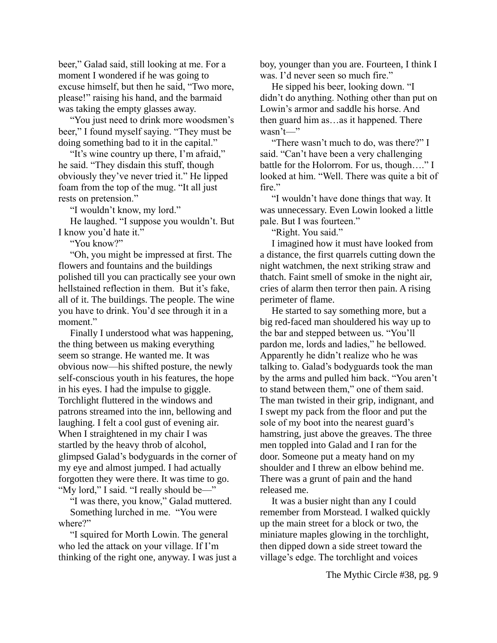beer," Galad said, still looking at me. For a moment I wondered if he was going to excuse himself, but then he said, "Two more, please!" raising his hand, and the barmaid was taking the empty glasses away.

"You just need to drink more woodsmen's beer," I found myself saying. "They must be doing something bad to it in the capital."

"It's wine country up there, I'm afraid," he said. "They disdain this stuff, though obviously they've never tried it." He lipped foam from the top of the mug. "It all just rests on pretension."

"I wouldn't know, my lord."

He laughed. "I suppose you wouldn't. But I know you'd hate it."

"You know?"

"Oh, you might be impressed at first. The flowers and fountains and the buildings polished till you can practically see your own hellstained reflection in them. But it's fake, all of it. The buildings. The people. The wine you have to drink. You'd see through it in a moment."

Finally I understood what was happening, the thing between us making everything seem so strange. He wanted me. It was obvious now—his shifted posture, the newly self-conscious youth in his features, the hope in his eyes. I had the impulse to giggle. Torchlight fluttered in the windows and patrons streamed into the inn, bellowing and laughing. I felt a cool gust of evening air. When I straightened in my chair I was startled by the heavy throb of alcohol, glimpsed Galad's bodyguards in the corner of my eye and almost jumped. I had actually forgotten they were there. It was time to go. "My lord," I said. "I really should be—"

"I was there, you know," Galad muttered.

Something lurched in me. "You were where?"

"I squired for Morth Lowin. The general who led the attack on your village. If I'm thinking of the right one, anyway. I was just a boy, younger than you are. Fourteen, I think I was. I'd never seen so much fire."

He sipped his beer, looking down. "I didn't do anything. Nothing other than put on Lowin's armor and saddle his horse. And then guard him as…as it happened. There wasn't—"

"There wasn't much to do, was there?" I said. "Can't have been a very challenging battle for the Holorrom. For us, though…." I looked at him. "Well. There was quite a bit of fire"

"I wouldn't have done things that way. It was unnecessary. Even Lowin looked a little pale. But I was fourteen."

"Right. You said."

I imagined how it must have looked from a distance, the first quarrels cutting down the night watchmen, the next striking straw and thatch. Faint smell of smoke in the night air, cries of alarm then terror then pain. A rising perimeter of flame.

He started to say something more, but a big red-faced man shouldered his way up to the bar and stepped between us. "You'll pardon me, lords and ladies," he bellowed. Apparently he didn't realize who he was talking to. Galad's bodyguards took the man by the arms and pulled him back. "You aren't to stand between them," one of them said. The man twisted in their grip, indignant, and I swept my pack from the floor and put the sole of my boot into the nearest guard's hamstring, just above the greaves. The three men toppled into Galad and I ran for the door. Someone put a meaty hand on my shoulder and I threw an elbow behind me. There was a grunt of pain and the hand released me.

It was a busier night than any I could remember from Morstead. I walked quickly up the main street for a block or two, the miniature maples glowing in the torchlight, then dipped down a side street toward the village's edge. The torchlight and voices